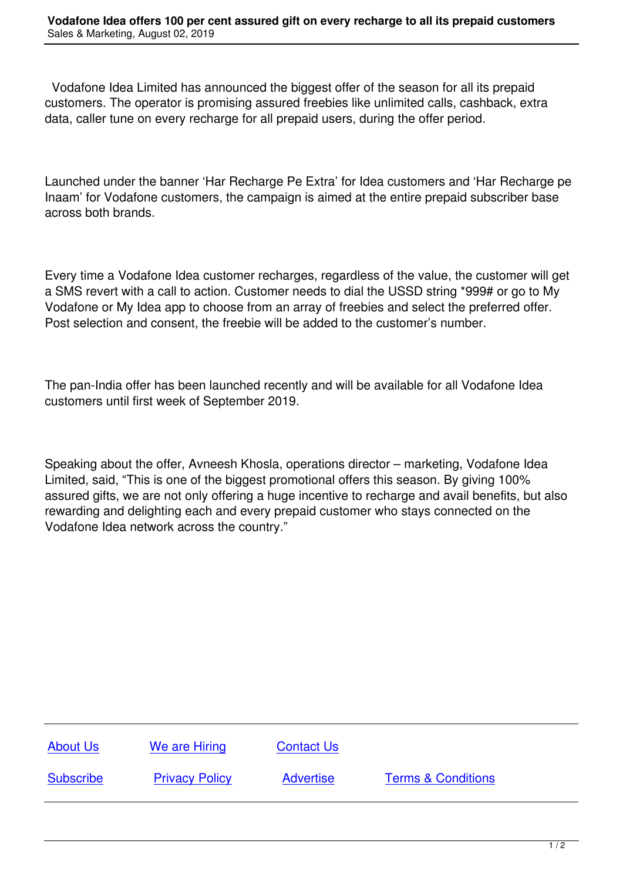Vodafone Idea Limited has announced the biggest offer of the season for all its prepaid customers. The operator is promising assured freebies like unlimited calls, cashback, extra data, caller tune on every recharge for all prepaid users, during the offer period.

Launched under the banner 'Har Recharge Pe Extra' for Idea customers and 'Har Recharge pe Inaam' for Vodafone customers, the campaign is aimed at the entire prepaid subscriber base across both brands.

Every time a Vodafone Idea customer recharges, regardless of the value, the customer will get a SMS revert with a call to action. Customer needs to dial the USSD string \*999# or go to My Vodafone or My Idea app to choose from an array of freebies and select the preferred offer. Post selection and consent, the freebie will be added to the customer's number.

The pan-India offer has been launched recently and will be available for all Vodafone Idea customers until first week of September 2019.

Speaking about the offer, Avneesh Khosla, operations director – marketing, Vodafone Idea Limited, said, "This is one of the biggest promotional offers this season. By giving 100% assured gifts, we are not only offering a huge incentive to recharge and avail benefits, but also rewarding and delighting each and every prepaid customer who stays connected on the Vodafone Idea network across the country."

| <b>About Us</b>  | We are Hiring         | <b>Contact Us</b> |                               |
|------------------|-----------------------|-------------------|-------------------------------|
| <b>Subscribe</b> | <b>Privacy Policy</b> | <b>Advertise</b>  | <b>Terms &amp; Conditions</b> |